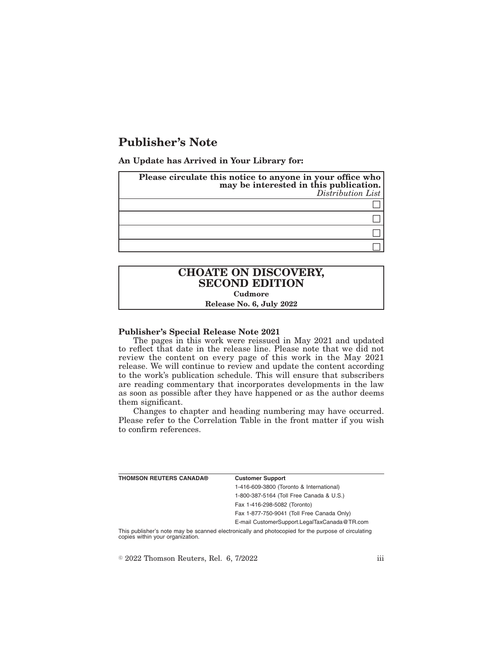# **Publisher's Note**

**An Update has Arrived in Your Library for:**

| Please circulate this notice to anyone in your office who<br>may be interested in this publication.<br>Distribution List |
|--------------------------------------------------------------------------------------------------------------------------|
|                                                                                                                          |
|                                                                                                                          |
|                                                                                                                          |
|                                                                                                                          |

## **CHOATE ON DISCOVERY, SECOND EDITION Cudmore Release No. 6, July 2022**

#### **Publisher's Special Release Note 2021**

The pages in this work were reissued in May 2021 and updated to reflect that date in the release line. Please note that we did not review the content on every page of this work in the May 2021 release. We will continue to review and update the content according to the work's publication schedule. This will ensure that subscribers are reading commentary that incorporates developments in the law as soon as possible after they have happened or as the author deems them significant.

Changes to chapter and heading numbering may have occurred. Please refer to the Correlation Table in the front matter if you wish to confirm references.

| THOMSON REUTERS CANADA®                                                                         | <b>Customer Support</b>                      |  |
|-------------------------------------------------------------------------------------------------|----------------------------------------------|--|
|                                                                                                 | 1-416-609-3800 (Toronto & International)     |  |
|                                                                                                 | 1-800-387-5164 (Toll Free Canada & U.S.)     |  |
|                                                                                                 | Fax 1-416-298-5082 (Toronto)                 |  |
|                                                                                                 | Fax 1-877-750-9041 (Toll Free Canada Only)   |  |
|                                                                                                 | E-mail CustomerSupport.LegalTaxCanada@TR.com |  |
| This mubliched pata may be connected protectionly and photographed for the museum of civilation |                                              |  |

This publisher's note may be scanned electronically and photocopied for the purpose of circulating copies within your organization.

 $\degree$  2022 Thomson Reuters, Rel. 6, 7/2022 iii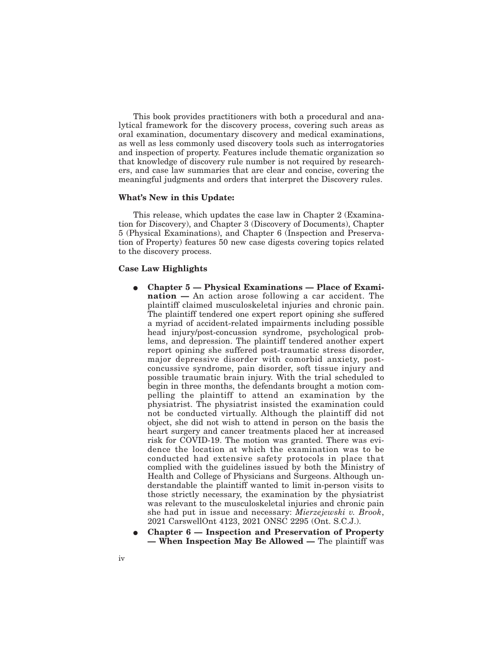This book provides practitioners with both a procedural and analytical framework for the discovery process, covering such areas as oral examination, documentary discovery and medical examinations, as well as less commonly used discovery tools such as interrogatories and inspection of property. Features include thematic organization so that knowledge of discovery rule number is not required by researchers, and case law summaries that are clear and concise, covering the meaningful judgments and orders that interpret the Discovery rules.

#### **What's New in this Update:**

This release, which updates the case law in Chapter 2 (Examination for Discovery), and Chapter 3 (Discovery of Documents), Chapter 5 (Physical Examinations), and Chapter 6 (Inspection and Preservation of Property) features 50 new case digests covering topics related to the discovery process.

#### **Case Law Highlights**

- E **Chapter 5 Physical Examinations Place of Examination —** An action arose following a car accident. The plaintiff claimed musculoskeletal injuries and chronic pain. The plaintiff tendered one expert report opining she suffered a myriad of accident-related impairments including possible head injury/post-concussion syndrome, psychological problems, and depression. The plaintiff tendered another expert report opining she suffered post-traumatic stress disorder, major depressive disorder with comorbid anxiety, postconcussive syndrome, pain disorder, soft tissue injury and possible traumatic brain injury. With the trial scheduled to begin in three months, the defendants brought a motion compelling the plaintiff to attend an examination by the physiatrist. The physiatrist insisted the examination could not be conducted virtually. Although the plaintiff did not object, she did not wish to attend in person on the basis the heart surgery and cancer treatments placed her at increased risk for COVID-19. The motion was granted. There was evidence the location at which the examination was to be conducted had extensive safety protocols in place that complied with the guidelines issued by both the Ministry of Health and College of Physicians and Surgeons. Although understandable the plaintiff wanted to limit in-person visits to those strictly necessary, the examination by the physiatrist was relevant to the musculoskeletal injuries and chronic pain she had put in issue and necessary: *Mierzejewski v. Brook*, 2021 CarswellOnt 4123, 2021 ONSC 2295 (Ont. S.C.J.).
- E **Chapter 6 Inspection and Preservation of Property — When Inspection May Be Allowed —** The plaintiff was